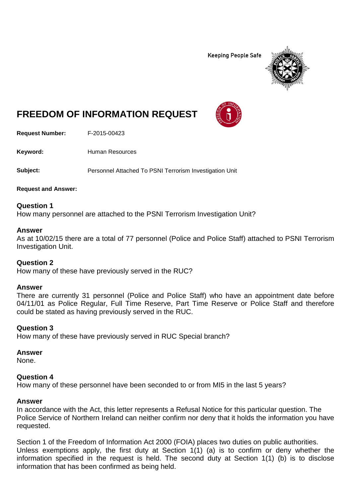**Keeping People Safe** 



# **FREEDOM OF INFORMATION REQUEST**

**Request Number:** F-2015-00423

Keyword: Human Resources

**Subject:** Personnel Attached To PSNI Terrorism Investigation Unit

**Request and Answer:**

## **Question 1**

How many personnel are attached to the PSNI Terrorism Investigation Unit?

#### **Answer**

As at 10/02/15 there are a total of 77 personnel (Police and Police Staff) attached to PSNI Terrorism Investigation Unit.

## **Question 2**

How many of these have previously served in the RUC?

## **Answer**

There are currently 31 personnel (Police and Police Staff) who have an appointment date before 04/11/01 as Police Regular, Full Time Reserve, Part Time Reserve or Police Staff and therefore could be stated as having previously served in the RUC.

## **Question 3**

How many of these have previously served in RUC Special branch?

#### **Answer**

None.

## **Question 4**

How many of these personnel have been seconded to or from MI5 in the last 5 years?

## **Answer**

In accordance with the Act, this letter represents a Refusal Notice for this particular question. The Police Service of Northern Ireland can neither confirm nor deny that it holds the information you have requested.

Section 1 of the Freedom of Information Act 2000 (FOIA) places two duties on public authorities. Unless exemptions apply, the first duty at Section  $1(1)$  (a) is to confirm or deny whether the information specified in the request is held. The second duty at Section 1(1) (b) is to disclose information that has been confirmed as being held.